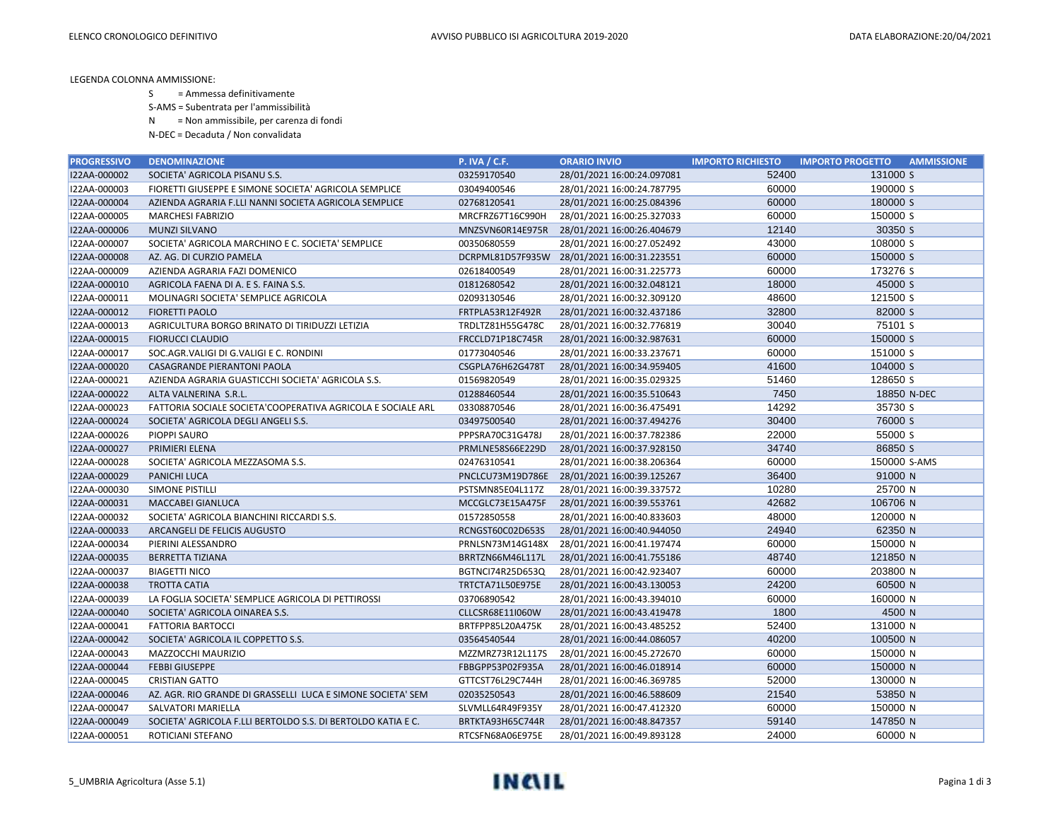LEGENDA COLONNA AMMISSIONE:

S = Ammessa definitivamente

S-AMS = Subentrata per l'ammissibilità

N = Non ammissibile, per carenza di fondi

N-DEC = Decaduta / Non convalidata

| <b>PROGRESSIVO</b> | <b>DENOMINAZIONE</b>                                         | <b>P. IVA / C.F.</b> | <b>ORARIO INVIO</b>                         | <b>IMPORTO RICHIESTO</b> | <b>IMPORTO PROGETTO</b><br><b>AMMISSIONE</b> |
|--------------------|--------------------------------------------------------------|----------------------|---------------------------------------------|--------------------------|----------------------------------------------|
| I22AA-000002       | SOCIETA' AGRICOLA PISANU S.S.                                | 03259170540          | 28/01/2021 16:00:24.097081                  | 52400                    | 131000 S                                     |
| I22AA-000003       | FIORETTI GIUSEPPE E SIMONE SOCIETA' AGRICOLA SEMPLICE        | 03049400546          | 28/01/2021 16:00:24.787795                  | 60000                    | 190000 S                                     |
| I22AA-000004       | AZIENDA AGRARIA F.LLI NANNI SOCIETA AGRICOLA SEMPLICE        | 02768120541          | 28/01/2021 16:00:25.084396                  | 60000                    | 180000 S                                     |
| I22AA-000005       | <b>MARCHESI FABRIZIO</b>                                     | MRCFRZ67T16C990H     | 28/01/2021 16:00:25.327033                  | 60000                    | 150000 S                                     |
| I22AA-000006       | <b>MUNZI SILVANO</b>                                         | MNZSVN60R14E975R     | 28/01/2021 16:00:26.404679                  | 12140                    | 30350 S                                      |
| I22AA-000007       | SOCIETA' AGRICOLA MARCHINO E C. SOCIETA' SEMPLICE            | 00350680559          | 28/01/2021 16:00:27.052492                  | 43000                    | 108000 S                                     |
| I22AA-000008       | AZ. AG. DI CURZIO PAMELA                                     |                      | DCRPML81D57F935W 28/01/2021 16:00:31.223551 | 60000                    | 150000 S                                     |
| I22AA-000009       | AZIENDA AGRARIA FAZI DOMENICO                                | 02618400549          | 28/01/2021 16:00:31.225773                  | 60000                    | 173276 S                                     |
| I22AA-000010       | AGRICOLA FAENA DI A. E S. FAINA S.S.                         | 01812680542          | 28/01/2021 16:00:32.048121                  | 18000                    | 45000 S                                      |
| I22AA-000011       | MOLINAGRI SOCIETA' SEMPLICE AGRICOLA                         | 02093130546          | 28/01/2021 16:00:32.309120                  | 48600                    | 121500 S                                     |
| I22AA-000012       | <b>FIORETTI PAOLO</b>                                        | FRTPLA53R12F492R     | 28/01/2021 16:00:32.437186                  | 32800                    | 82000 S                                      |
| I22AA-000013       | AGRICULTURA BORGO BRINATO DI TIRIDUZZI LETIZIA               | TRDLTZ81H55G478C     | 28/01/2021 16:00:32.776819                  | 30040                    | 75101 S                                      |
| I22AA-000015       | <b>FIORUCCI CLAUDIO</b>                                      | FRCCLD71P18C745R     | 28/01/2021 16:00:32.987631                  | 60000                    | 150000 S                                     |
| I22AA-000017       | SOC.AGR.VALIGI DI G.VALIGI E C. RONDINI                      | 01773040546          | 28/01/2021 16:00:33.237671                  | 60000                    | 151000 S                                     |
| I22AA-000020       | CASAGRANDE PIERANTONI PAOLA                                  | CSGPLA76H62G478T     | 28/01/2021 16:00:34.959405                  | 41600                    | 104000 S                                     |
| I22AA-000021       | AZIENDA AGRARIA GUASTICCHI SOCIETA' AGRICOLA S.S.            | 01569820549          | 28/01/2021 16:00:35.029325                  | 51460                    | 128650 S                                     |
| I22AA-000022       | ALTA VALNERINA S.R.L.                                        | 01288460544          | 28/01/2021 16:00:35.510643                  | 7450                     | 18850 N-DEC                                  |
| I22AA-000023       | FATTORIA SOCIALE SOCIETA'COOPERATIVA AGRICOLA E SOCIALE ARL  | 03308870546          | 28/01/2021 16:00:36.475491                  | 14292                    | 35730 S                                      |
| I22AA-000024       | SOCIETA' AGRICOLA DEGLI ANGELI S.S.                          | 03497500540          | 28/01/2021 16:00:37.494276                  | 30400                    | 76000 S                                      |
| I22AA-000026       | PIOPPI SAURO                                                 | PPPSRA70C31G478J     | 28/01/2021 16:00:37.782386                  | 22000                    | 55000 S                                      |
| I22AA-000027       | PRIMIERI ELENA                                               | PRMLNE58S66E229D     | 28/01/2021 16:00:37.928150                  | 34740                    | 86850 S                                      |
| I22AA-000028       | SOCIETA' AGRICOLA MEZZASOMA S.S.                             | 02476310541          | 28/01/2021 16:00:38.206364                  | 60000                    | 150000 S-AMS                                 |
| I22AA-000029       | <b>PANICHI LUCA</b>                                          | PNCLCU73M19D786E     | 28/01/2021 16:00:39.125267                  | 36400                    | 91000 N                                      |
| I22AA-000030       | <b>SIMONE PISTILLI</b>                                       | PSTSMN85E04L117Z     | 28/01/2021 16:00:39.337572                  | 10280                    | 25700 N                                      |
| I22AA-000031       | <b>MACCABEI GIANLUCA</b>                                     | MCCGLC73E15A475F     | 28/01/2021 16:00:39.553761                  | 42682                    | 106706 N                                     |
| I22AA-000032       | SOCIETA' AGRICOLA BIANCHINI RICCARDI S.S.                    | 01572850558          | 28/01/2021 16:00:40.833603                  | 48000                    | 120000 N                                     |
| I22AA-000033       | ARCANGELI DE FELICIS AUGUSTO                                 | RCNGST60C02D653S     | 28/01/2021 16:00:40.944050                  | 24940                    | 62350 N                                      |
| I22AA-000034       | PIERINI ALESSANDRO                                           | PRNLSN73M14G148X     | 28/01/2021 16:00:41.197474                  | 60000                    | 150000 N                                     |
| I22AA-000035       | <b>BERRETTA TIZIANA</b>                                      | BRRTZN66M46L117L     | 28/01/2021 16:00:41.755186                  | 48740                    | 121850 N                                     |
| I22AA-000037       | <b>BIAGETTI NICO</b>                                         | BGTNCI74R25D653Q     | 28/01/2021 16:00:42.923407                  | 60000                    | 203800 N                                     |
| I22AA-000038       | <b>TROTTA CATIA</b>                                          | TRTCTA71L50E975E     | 28/01/2021 16:00:43.130053                  | 24200                    | 60500 N                                      |
| I22AA-000039       | LA FOGLIA SOCIETA' SEMPLICE AGRICOLA DI PETTIROSSI           | 03706890542          | 28/01/2021 16:00:43.394010                  | 60000                    | 160000 N                                     |
| I22AA-000040       | SOCIETA' AGRICOLA OINAREA S.S.                               | CLLCSR68E11I060W     | 28/01/2021 16:00:43.419478                  | 1800                     | 4500 N                                       |
| I22AA-000041       | <b>FATTORIA BARTOCCI</b>                                     | BRTFPP85L20A475K     | 28/01/2021 16:00:43.485252                  | 52400                    | 131000 N                                     |
| I22AA-000042       | SOCIETA' AGRICOLA IL COPPETTO S.S.                           | 03564540544          | 28/01/2021 16:00:44.086057                  | 40200                    | 100500 N                                     |
| I22AA-000043       | MAZZOCCHI MAURIZIO                                           | MZZMRZ73R12L117S     | 28/01/2021 16:00:45.272670                  | 60000                    | 150000 N                                     |
| I22AA-000044       | <b>FEBBI GIUSEPPE</b>                                        | FBBGPP53P02F935A     | 28/01/2021 16:00:46.018914                  | 60000                    | 150000 N                                     |
| I22AA-000045       | <b>CRISTIAN GATTO</b>                                        | GTTCST76L29C744H     | 28/01/2021 16:00:46.369785                  | 52000                    | 130000 N                                     |
| I22AA-000046       | AZ. AGR. RIO GRANDE DI GRASSELLI LUCA E SIMONE SOCIETA' SEM  | 02035250543          | 28/01/2021 16:00:46.588609                  | 21540                    | 53850 N                                      |
| I22AA-000047       | <b>SALVATORI MARIELLA</b>                                    | SLVMLL64R49F935Y     | 28/01/2021 16:00:47.412320                  | 60000                    | 150000 N                                     |
| I22AA-000049       | SOCIETA' AGRICOLA F.LLI BERTOLDO S.S. DI BERTOLDO KATIA E C. | BRTKTA93H65C744R     | 28/01/2021 16:00:48.847357                  | 59140                    | 147850 N                                     |
| I22AA-000051       | ROTICIANI STEFANO                                            | RTCSFN68A06E975E     | 28/01/2021 16:00:49.893128                  | 24000                    | 60000 N                                      |

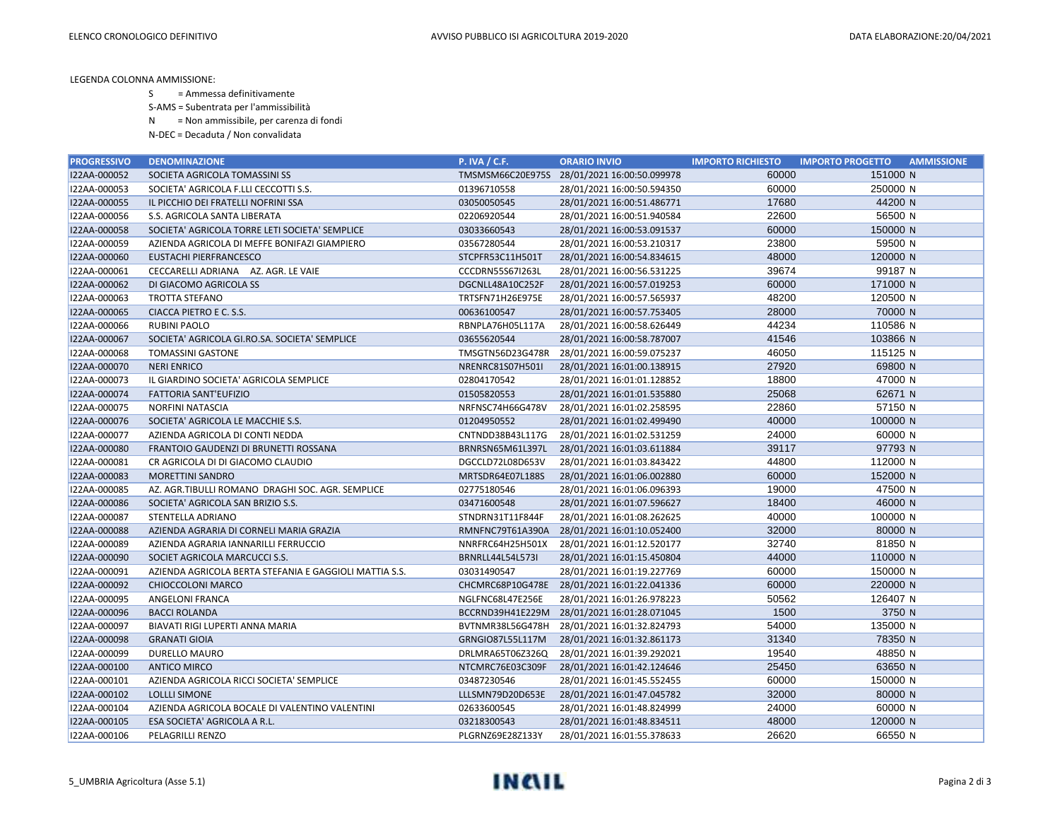LEGENDA COLONNA AMMISSIONE:

S = Ammessa definitivamente

S-AMS = Subentrata per l'ammissibilità

N = Non ammissibile, per carenza di fondi

N-DEC = Decaduta / Non convalidata

| <b>PROGRESSIVO</b> | <b>DENOMINAZIONE</b>                                   | <b>P. IVA / C.F.</b>    | <b>ORARIO INVIO</b>                         | <b>IMPORTO RICHIESTO</b> | <b>IMPORTO PROGETTO</b><br><b>AMMISSIONE</b> |
|--------------------|--------------------------------------------------------|-------------------------|---------------------------------------------|--------------------------|----------------------------------------------|
| I22AA-000052       | SOCIETA AGRICOLA TOMASSINI SS                          |                         | TMSMSM66C20E975S 28/01/2021 16:00:50.099978 | 60000                    | 151000 N                                     |
| I22AA-000053       | SOCIETA' AGRICOLA F.LLI CECCOTTI S.S.                  | 01396710558             | 28/01/2021 16:00:50.594350                  | 60000                    | 250000 N                                     |
| I22AA-000055       | IL PICCHIO DEI FRATELLI NOFRINI SSA                    | 03050050545             | 28/01/2021 16:00:51.486771                  | 17680                    | 44200 N                                      |
| I22AA-000056       | S.S. AGRICOLA SANTA LIBERATA                           | 02206920544             | 28/01/2021 16:00:51.940584                  | 22600                    | 56500 N                                      |
| I22AA-000058       | SOCIETA' AGRICOLA TORRE LETI SOCIETA' SEMPLICE         | 03033660543             | 28/01/2021 16:00:53.091537                  | 60000                    | 150000 N                                     |
| I22AA-000059       | AZIENDA AGRICOLA DI MEFFE BONIFAZI GIAMPIERO           | 03567280544             | 28/01/2021 16:00:53.210317                  | 23800                    | 59500 N                                      |
| I22AA-000060       | EUSTACHI PIERFRANCESCO                                 | STCPFR53C11H501T        | 28/01/2021 16:00:54.834615                  | 48000                    | 120000 N                                     |
| I22AA-000061       | CECCARELLI ADRIANA AZ. AGR. LE VAIE                    | <b>CCCDRN55S67I263L</b> | 28/01/2021 16:00:56.531225                  | 39674                    | 99187 N                                      |
| I22AA-000062       | DI GIACOMO AGRICOLA SS                                 | DGCNLL48A10C252F        | 28/01/2021 16:00:57.019253                  | 60000                    | 171000 N                                     |
| I22AA-000063       | <b>TROTTA STEFANO</b>                                  | TRTSFN71H26E975E        | 28/01/2021 16:00:57.565937                  | 48200                    | 120500 N                                     |
| I22AA-000065       | CIACCA PIETRO E C. S.S.                                | 00636100547             | 28/01/2021 16:00:57.753405                  | 28000                    | 70000 N                                      |
| I22AA-000066       | <b>RUBINI PAOLO</b>                                    | RBNPLA76H05L117A        | 28/01/2021 16:00:58.626449                  | 44234                    | 110586 N                                     |
| I22AA-000067       | SOCIETA' AGRICOLA GI.RO.SA. SOCIETA' SEMPLICE          | 03655620544             | 28/01/2021 16:00:58.787007                  | 41546                    | 103866 N                                     |
| I22AA-000068       | <b>TOMASSINI GASTONE</b>                               | TMSGTN56D23G478R        | 28/01/2021 16:00:59.075237                  | 46050                    | 115125 N                                     |
| I22AA-000070       | <b>NERI ENRICO</b>                                     | NRENRC81S07H501I        | 28/01/2021 16:01:00.138915                  | 27920                    | 69800 N                                      |
| I22AA-000073       | IL GIARDINO SOCIETA' AGRICOLA SEMPLICE                 | 02804170542             | 28/01/2021 16:01:01.128852                  | 18800                    | 47000 N                                      |
| I22AA-000074       | <b>FATTORIA SANT'EUFIZIO</b>                           | 01505820553             | 28/01/2021 16:01:01.535880                  | 25068                    | 62671 N                                      |
| I22AA-000075       | NORFINI NATASCIA                                       | NRFNSC74H66G478V        | 28/01/2021 16:01:02.258595                  | 22860                    | 57150 N                                      |
| I22AA-000076       | SOCIETA' AGRICOLA LE MACCHIE S.S.                      | 01204950552             | 28/01/2021 16:01:02.499490                  | 40000                    | 100000 N                                     |
| I22AA-000077       | AZIENDA AGRICOLA DI CONTI NEDDA                        | CNTNDD38B43L117G        | 28/01/2021 16:01:02.531259                  | 24000                    | 60000 N                                      |
| I22AA-000080       | FRANTOIO GAUDENZI DI BRUNETTI ROSSANA                  | BRNRSN65M61L397L        | 28/01/2021 16:01:03.611884                  | 39117                    | 97793 N                                      |
| I22AA-000081       | CR AGRICOLA DI DI GIACOMO CLAUDIO                      | DGCCLD72L08D653V        | 28/01/2021 16:01:03.843422                  | 44800                    | 112000 N                                     |
| I22AA-000083       | <b>MORETTINI SANDRO</b>                                | MRTSDR64E07L188S        | 28/01/2021 16:01:06.002880                  | 60000                    | 152000 N                                     |
| I22AA-000085       | AZ. AGR.TIBULLI ROMANO DRAGHI SOC. AGR. SEMPLICE       | 02775180546             | 28/01/2021 16:01:06.096393                  | 19000                    | 47500 N                                      |
| I22AA-000086       | SOCIETA' AGRICOLA SAN BRIZIO S.S.                      | 03471600548             | 28/01/2021 16:01:07.596627                  | 18400                    | 46000 N                                      |
| I22AA-000087       | STENTELLA ADRIANO                                      | STNDRN31T11F844F        | 28/01/2021 16:01:08.262625                  | 40000                    | 100000 N                                     |
| I22AA-000088       | AZIENDA AGRARIA DI CORNELI MARIA GRAZIA                | RMNFNC79T61A390A        | 28/01/2021 16:01:10.052400                  | 32000                    | 80000 N                                      |
| I22AA-000089       | AZIENDA AGRARIA IANNARILLI FERRUCCIO                   | NNRFRC64H25H501X        | 28/01/2021 16:01:12.520177                  | 32740                    | 81850 N                                      |
| I22AA-000090       | SOCIET AGRICOLA MARCUCCI S.S.                          | <b>BRNRLL44L54L573I</b> | 28/01/2021 16:01:15.450804                  | 44000                    | 110000 N                                     |
| I22AA-000091       | AZIENDA AGRICOLA BERTA STEFANIA E GAGGIOLI MATTIA S.S. | 03031490547             | 28/01/2021 16:01:19.227769                  | 60000                    | 150000 N                                     |
| I22AA-000092       | CHIOCCOLONI MARCO                                      | CHCMRC68P10G478E        | 28/01/2021 16:01:22.041336                  | 60000                    | 220000 N                                     |
| I22AA-000095       | ANGELONI FRANCA                                        | NGLFNC68L47E256E        | 28/01/2021 16:01:26.978223                  | 50562                    | 126407 N                                     |
| I22AA-000096       | <b>BACCI ROLANDA</b>                                   | BCCRND39H41E229M        | 28/01/2021 16:01:28.071045                  | 1500                     | 3750 N                                       |
| I22AA-000097       | BIAVATI RIGI LUPERTI ANNA MARIA                        | BVTNMR38L56G478H        | 28/01/2021 16:01:32.824793                  | 54000                    | 135000 N                                     |
| I22AA-000098       | <b>GRANATI GIOIA</b>                                   | GRNGIO87L55L117M        | 28/01/2021 16:01:32.861173                  | 31340                    | 78350 N                                      |
| I22AA-000099       | DURELLO MAURO                                          | DRLMRA65T06Z326Q        | 28/01/2021 16:01:39.292021                  | 19540                    | 48850 N                                      |
| I22AA-000100       | <b>ANTICO MIRCO</b>                                    | NTCMRC76E03C309F        | 28/01/2021 16:01:42.124646                  | 25450                    | 63650 N                                      |
| I22AA-000101       | AZIENDA AGRICOLA RICCI SOCIETA' SEMPLICE               | 03487230546             | 28/01/2021 16:01:45.552455                  | 60000                    | 150000 N                                     |
| I22AA-000102       | <b>LOLLLI SIMONE</b>                                   | LLLSMN79D20D653E        | 28/01/2021 16:01:47.045782                  | 32000                    | 80000 N                                      |
| I22AA-000104       | AZIENDA AGRICOLA BOCALE DI VALENTINO VALENTINI         | 02633600545             | 28/01/2021 16:01:48.824999                  | 24000                    | 60000 N                                      |
| I22AA-000105       | ESA SOCIETA' AGRICOLA A R.L.                           | 03218300543             | 28/01/2021 16:01:48.834511                  | 48000                    | 120000 N                                     |
| I22AA-000106       | PELAGRILLI RENZO                                       | PLGRNZ69E28Z133Y        | 28/01/2021 16:01:55.378633                  | 26620                    | 66550 N                                      |